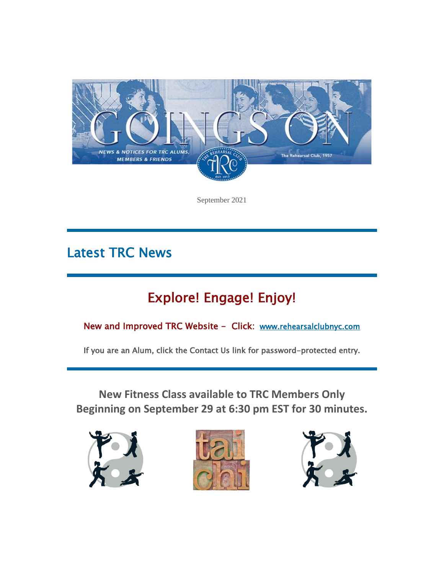

September 2021

# Latest TRC News

# Explore! Engage! Enjoy!

New and Improved TRC Website - Click: [www.rehearsalclubnyc.com](http://em.networkforgood.com/ls/click?upn=d9K6ASy0zzX96vUyeY2s4NbX7GC-2B-2BQrvMkId8Tobla-2FvkTqIGb6BP464szxIK4hEXdR5_mVgFLr7YN-2FKDVqGhILtkQY9fXF2OyRftV4uiTXV7NCEcuGiW3m9PIr74lXGCfArzg1TYa3wVUQOp5lxnP-2Bq7XNP-2FnC23-2BoICcAusWPFtKXtFpmhAW7tuNTxp2YiASEwbHa4U2uT8LPbcBozjmGjb-2Bqe0iGmFiXltcH5Nn6qN0S-2BwJCcvjl7kuXFHCSGMG6cZ1kqIsqvG5lSFE1OOlhRrlQ-3D-3D)

If you are an Alum, click the Contact Us link for password-protected entry.

**New Fitness Class available to TRC Members Only Beginning on September 29 at 6:30 pm EST for 30 minutes.**





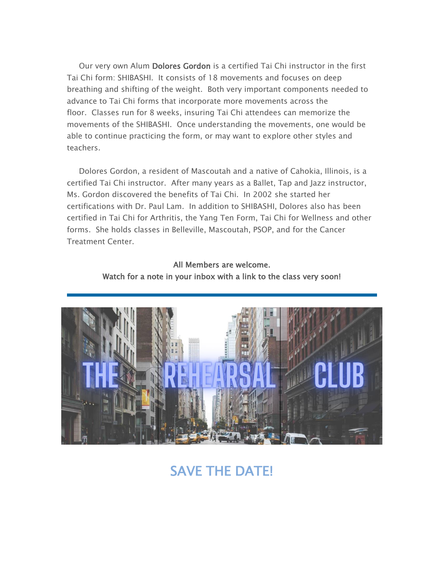Our very own Alum Dolores Gordon is a certified Tai Chi instructor in the first Tai Chi form: SHIBASHI. It consists of 18 movements and focuses on deep breathing and shifting of the weight. Both very important components needed to advance to Tai Chi forms that incorporate more movements across the floor. Classes run for 8 weeks, insuring Tai Chi attendees can memorize the movements of the SHIBASHI. Once understanding the movements, one would be able to continue practicing the form, or may want to explore other styles and teachers.

Dolores Gordon, a resident of Mascoutah and a native of Cahokia, Illinois, is a certified Tai Chi instructor. After many years as a Ballet, Tap and Jazz instructor, Ms. Gordon discovered the benefits of Tai Chi. In 2002 she started her certifications with Dr. Paul Lam. In addition to SHIBASHI, Dolores also has been certified in Tai Chi for Arthritis, the Yang Ten Form, Tai Chi for Wellness and other forms. She holds classes in Belleville, Mascoutah, PSOP, and for the Cancer Treatment Center.

> All Members are welcome. Watch for a note in your inbox with a link to the class very soon!



# SAVE THE DATE!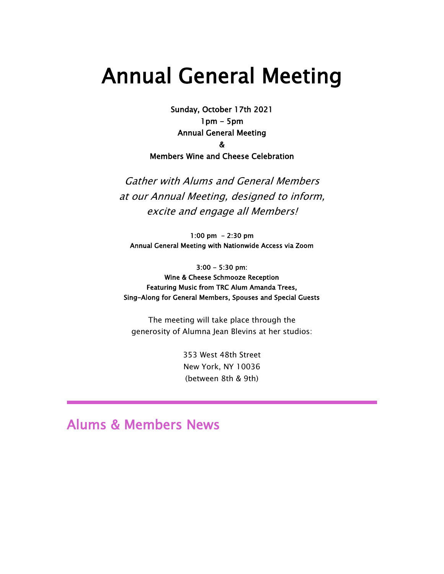# Annual General Meeting

Sunday, October 17th 2021 1pm - 5pm Annual General Meeting &

Members Wine and Cheese Celebration

Gather with Alums and General Members at our Annual Meeting, designed to inform, excite and engage all Members!

1:00 pm - 2:30 pm Annual General Meeting with Nationwide Access via Zoom

3:00 - 5:30 pm: Wine & Cheese Schmooze Reception Featuring Music from TRC Alum Amanda Trees, Sing-Along for General Members, Spouses and Special Guests

The meeting will take place through the generosity of Alumna Jean Blevins at her studios:

> 353 West 48th Street New York, NY 10036 (between 8th & 9th)

## Alums & Members News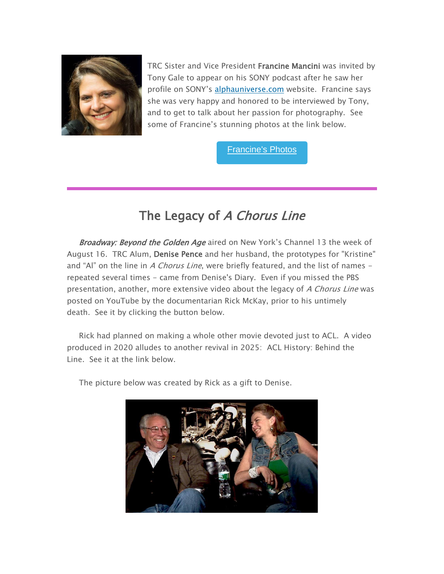

TRC Sister and Vice President Francine Mancini was invited by Tony Gale to appear on his SONY podcast after he saw her profile on SONY's [alphauniverse.com](http://em.networkforgood.com/ls/click?upn=d9K6ASy0zzX96vUyeY2s4GYxWrdG7ouCgdIq4h4pUj-2F5yud3-2FAMVtWbR-2BJS2KJ6xB2-E_mVgFLr7YN-2FKDVqGhILtkQY9fXF2OyRftV4uiTXV7NCEcuGiW3m9PIr74lXGCfArz88BG9PPuGPCoEIdybaRRBaYKZbRcOyyGTckVgRkhI8Fvr5vPL4wP13s9wk8S-2Fp7FpsrPD1Hkqww1Cb4G0pmEko9sQyCXELgXC4IX83DvmewQ11OL-2BKL68U-2BaaihLgO8Wk-2BAUK8jAcl0Gp1vfe67mkw-3D-3D) website. Francine says she was very happy and honored to be interviewed by Tony, and to get to talk about her passion for photography. See some of Francine's stunning photos at the link below.

[Francine's](https://alphauniverse.com/member/#/francine-mancini/) Photos

# The Legacy of A Chorus Line

Broadway: Beyond the Golden Age aired on New York's Channel 13 the week of August 16. TRC Alum, Denise Pence and her husband, the prototypes for "Kristine" and "Al" on the line in A Chorus Line, were briefly featured, and the list of names  $$ repeated several times - came from Denise's Diary. Even if you missed the PBS presentation, another, more extensive video about the legacy of A Chorus Line was posted on YouTube by the documentarian Rick McKay, prior to his untimely death. See it by clicking the button below.

Rick had planned on making a whole other movie devoted just to ACL. A video produced in 2020 alludes to another revival in 2025: ACL History: Behind the Line. See it at the link below.



The picture below was created by Rick as a gift to Denise.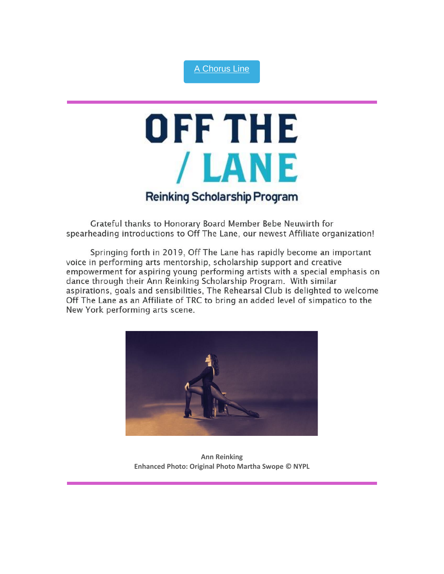#### A [Chorus](https://youtu.be/OC_XH9ti6BY) Line

# OFF THE /LANE **Reinking Scholarship Program**

Grateful thanks to Honorary Board Member Bebe Neuwirth for spearheading introductions to Off The Lane, our newest Affiliate organization!

Springing forth in 2019, Off The Lane has rapidly become an important voice in performing arts mentorship, scholarship support and creative empowerment for aspiring young performing artists with a special emphasis on dance through their Ann Reinking Scholarship Program. With similar aspirations, goals and sensibilities, The Rehearsal Club is delighted to welcome Off The Lane as an Affiliate of TRC to bring an added level of simpatico to the New York performing arts scene.



**Ann Reinking Enhanced Photo: Original Photo Martha Swope © NYPL**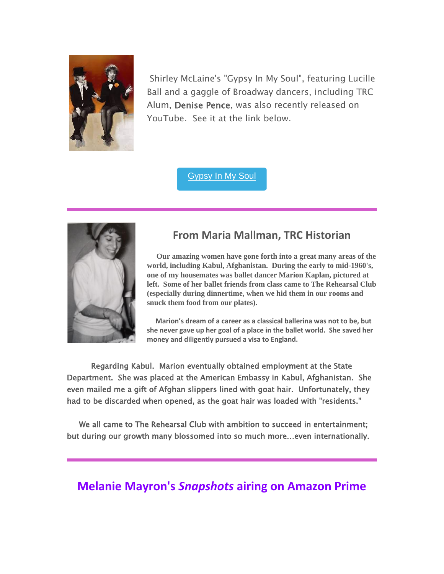

Shirley McLaine's "Gypsy In My Soul", featuring Lucille Ball and a gaggle of Broadway dancers, including TRC Alum, Denise Pence, was also recently released on YouTube. See it at the link below.

[Gypsy](https://youtu.be/h0V19AKAmTo) In My Soul



### **From Maria Mallman, TRC Historian**

**Our amazing women have gone forth into a great many areas of the world, including Kabul, Afghanistan. During the early to mid-1960's, one of my housemates was ballet dancer Marion Kaplan, pictured at left. Some of her ballet friends from class came to The Rehearsal Club (especially during dinnertime, when we hid them in our rooms and snuck them food from our plates).**

**Marion's dream of a career as a classical ballerina was not to be, but she never gave up her goal of a place in the ballet world. She saved her money and diligently pursued a visa to England.**

 Regarding Kabul. Marion eventually obtained employment at the State Department. She was placed at the American Embassy in Kabul, Afghanistan. She even mailed me a gift of Afghan slippers lined with goat hair. Unfortunately, they had to be discarded when opened, as the goat hair was loaded with "residents."

 We all came to The Rehearsal Club with ambition to succeed in entertainment; but during our growth many blossomed into so much more…even internationally.

### **Melanie Mayron's** *Snapshots* **airing on Amazon Prime**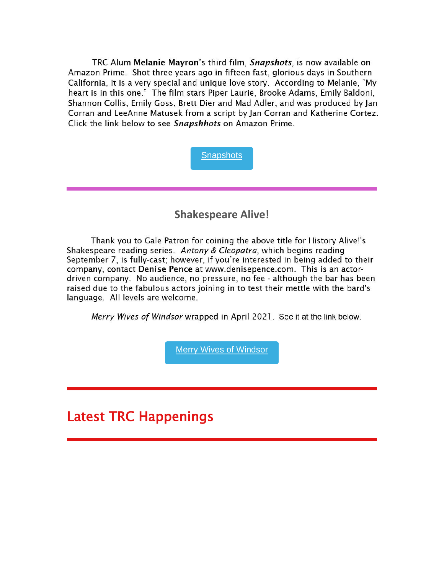TRC Alum Melanie Mayron's third film, Snapshots, is now available on Amazon Prime. Shot three years ago in fifteen fast, glorious days in Southern California, it is a very special and unique love story. According to Melanie, "My heart is in this one." The film stars Piper Laurie, Brooke Adams, Emily Baldoni, Shannon Collis, Emily Goss, Brett Dier and Mad Adler, and was produced by Jan Corran and LeeAnne Matusek from a script by Jan Corran and Katherine Cortez. Click the link below to see Snapshhots on Amazon Prime.



### **Shakespeare Alive!**

Thank you to Gale Patron for coining the above title for History Alive!'s Shakespeare reading series. Antony & Cleopatra, which begins reading September 7, is fully-cast; however, if you're interested in being added to their company, contact Denise Pence at www.denisepence.com. This is an actordriven company. No audience, no pressure, no fee - although the bar has been raised due to the fabulous actors joining in to test their mettle with the bard's language. All levels are welcome.

Merry Wives of Windsor wrapped in April 2021. See it at the link below.

Merry Wives of [Windsor](https://youtu.be/bJ-DNTK71V4)

### Latest TRC Happenings